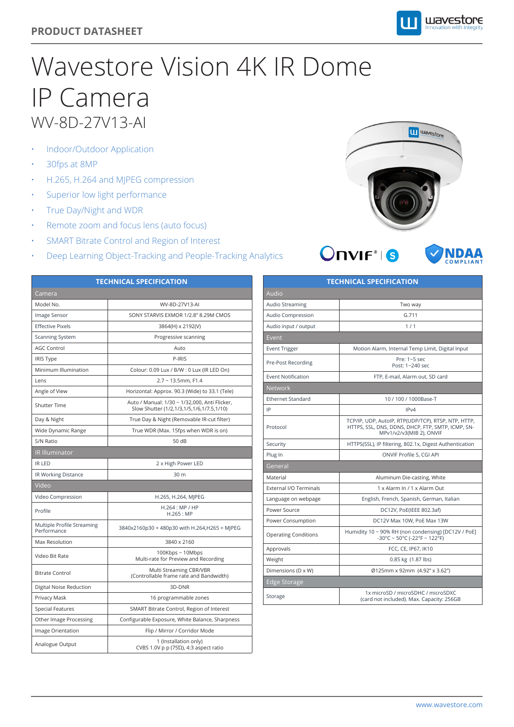## **PRODUCT DATASHEET**

## Wavestore Vision 4K IR Dome IP Camera WV-8D-27V13-AI

- Indoor/Outdoor Application
- 30fps at 8MP
- H.265, H.264 and MJPEG compression
- Superior low light performance
- True Day/Night and WDR
- Remote zoom and focus lens (auto focus)
- SMART Bitrate Control and Region of Interest
- Deep Learning Object-Tracking and People-Tracking Analytics



wavestore



| <b>TECHNICAL SPECIFICATION</b>            |                                                                                            |  |
|-------------------------------------------|--------------------------------------------------------------------------------------------|--|
| Camera                                    |                                                                                            |  |
| Model No.                                 | WV-8D-27V13-AI                                                                             |  |
| Image Sensor                              | SONY STARVIS EXMOR 1/2.8" 8.29M CMOS                                                       |  |
| <b>Effective Pixels</b>                   | 3864(H) x 2192(V)                                                                          |  |
| <b>Scanning System</b>                    | Progressive scanning                                                                       |  |
| <b>AGC Control</b>                        | Auto                                                                                       |  |
| IRIS Type                                 | P-IRIS                                                                                     |  |
| Minimum Illumination                      | Colour: 0.09 Lux / B/W : 0 Lux (IR LED On)                                                 |  |
| Lens                                      | $2.7 - 13.5$ mm, F1.4                                                                      |  |
| Angle of View                             | Horizontal: Approx. 90.3 (Wide) to 33.1 (Tele)                                             |  |
| <b>Shutter Time</b>                       | Auto / Manual: 1/30 ~ 1/32,000, Anti Flicker,<br>Slow Shutter (1/2,1/3,1/5,1/6,1/7.5,1/10) |  |
| Day & Night                               | True Day & Night (Removable IR-cut filter)                                                 |  |
| Wide Dynamic Range                        | True WDR (Max. 15fps when WDR is on)                                                       |  |
| S/N Ratio                                 | 50 dB                                                                                      |  |
| <b>IR Illuminator</b>                     |                                                                                            |  |
| <b>IR LED</b>                             | 2 x High Power LED                                                                         |  |
| IR Working Distance                       | 30 m                                                                                       |  |
| Video                                     |                                                                                            |  |
| Video Compression                         | H.265, H.264, MJPEG                                                                        |  |
| Profile                                   | H.264: MP / HP<br>$H.265$ : MP                                                             |  |
| Multiple Profile Streaming<br>Performance | 3840x2160p30 + 480p30 with H.264,H265 + MJPEG                                              |  |
| Max Resolution                            | 3840 x 2160                                                                                |  |
| Video Bit Rate                            | 100Kbps~10Mbps<br>Multi-rate for Preview and Recording                                     |  |
| <b>Bitrate Control</b>                    | Multi Streaming CBR/VBR<br>(Controllable frame rate and Bandwidth)                         |  |
| Digital Noise Reduction                   | 3D-DNR                                                                                     |  |
| Privacy Mask                              | 16 programmable zones                                                                      |  |
| <b>Special Features</b>                   | SMART Bitrate Control, Region of Interest                                                  |  |
| Other Image Processing                    | Configurable Exposure, White Balance, Sharpness                                            |  |
| Image Orientation                         | Flip / Mirror / Corridor Mode                                                              |  |
| Analogue Output                           | 1 (Installation only)<br>CVBS 1.0V p p (75 $\Omega$ ), 4:3 aspect ratio                    |  |

| <b>TECHNICAL SPECIFICATION</b> |                                                                                                                                      |  |
|--------------------------------|--------------------------------------------------------------------------------------------------------------------------------------|--|
| Audio                          |                                                                                                                                      |  |
| <b>Audio Streaming</b>         | Two way                                                                                                                              |  |
| Audio Compression              | G.711                                                                                                                                |  |
| Audio input / output           | 1/1                                                                                                                                  |  |
| Event                          |                                                                                                                                      |  |
| Event Trigger                  | Motion Alarm, Internal Temp Limit, Digital Input                                                                                     |  |
| Pre-Post Recording             | Pre: 1~5 sec<br>Post: 1~240 sec                                                                                                      |  |
| <b>Event Notification</b>      | FTP, E-mail, Alarm out, SD card                                                                                                      |  |
| <b>Network</b>                 |                                                                                                                                      |  |
| <b>Ethernet Standard</b>       | 10/100/1000Base-T                                                                                                                    |  |
| IP                             | IPv4                                                                                                                                 |  |
| Protocol                       | TCP/IP, UDP, AutoIP, RTP(UDP/TCP), RTSP, NTP, HTTP,<br>HTTPS, SSL, DNS, DDNS, DHCP, FTP, SMTP, ICMP, SN-<br>MPv1/v2/v3(MIB 2), ONVIF |  |
| Security                       | HTTPS(SSL), IP filtering, 802.1x, Digest Authentication                                                                              |  |
| Plug In                        | ONVIF Profile S, CGI API                                                                                                             |  |
| General                        |                                                                                                                                      |  |
| Material                       | Aluminum Die-casting, White                                                                                                          |  |
| External I/O Terminals         | 1 x Alarm In / 1 x Alarm Out                                                                                                         |  |
| Language on webpage            | English, French, Spanish, German, Italian                                                                                            |  |
| Power Source                   | DC12V, PoE(IEEE 802.3af)                                                                                                             |  |
| Power Consumption              | DC12V Max 10W, PoE Max 13W                                                                                                           |  |
| <b>Operating Conditions</b>    | Humidity 10 ~ 90% RH (non condensing) [DC12V / PoE]<br>$-30^{\circ}$ C ~ 50°C (-22°F ~ 122°F)                                        |  |
| Approvals                      | FCC, CE, IP67, IK10                                                                                                                  |  |
| Weight                         | 0.85 kg (1.87 lbs)                                                                                                                   |  |
| Dimensions (D x W)             | Ø125mm x 92mm (4.92" x 3.62")                                                                                                        |  |
| <b>Edge Storage</b>            |                                                                                                                                      |  |
| Storage                        | 1x microSD / microSDHC / microSDXC<br>(card not included). Max. Capacity: 256GB                                                      |  |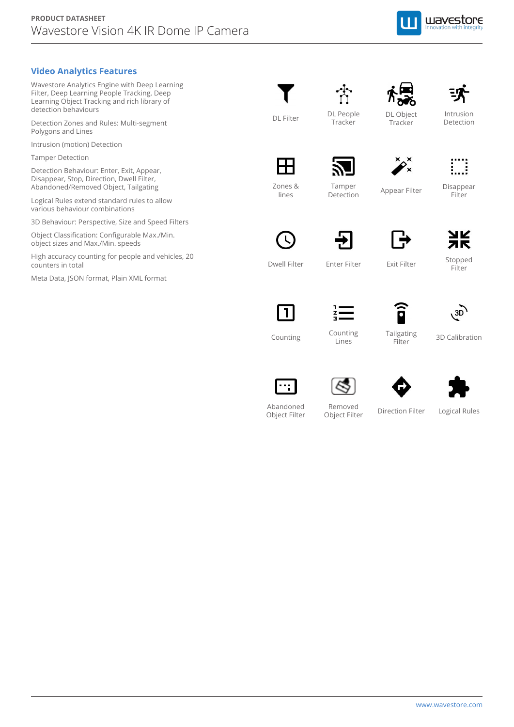

## **Video Analytics Features**

Wavestore Analytics Engine with Deep Learning Filter, Deep Learning People Tracking, Deep Learning Object Tracking and rich library of detection behaviours

Detection Zones and Rules: Multi-segment Polygons and Lines

Intrusion (motion) Detection

Tamper Detection

Detection Behaviour: Enter, Exit, Appear, Disappear, Stop, Direction, Dwell Filter, Abandoned/Removed Object, Tailgating

Logical Rules extend standard rules to allow various behaviour combinations

3D Behaviour: Perspective, Size and Speed Filters

Object Classification: Configurable Max./Min. object sizes and Max./Min. speeds

High accuracy counting for people and vehicles, 20 counters in total

Meta Data, JSON format, Plain XML format

 $DL$  Filter DL People



Intrusion Detection









Tamper Detection

**Tracker** 

Appear Filter

Exit Filter

Disappear Filter





Stopped **Filter** 



Dwell Filter

Zones & lines



Counting Lines

Enter Filter



Counting Counting Lines and Counting Counting 2D Calibration

3D







Abandoned Object Filter

Removed Object Filter

Direction Filter

Logical Rules